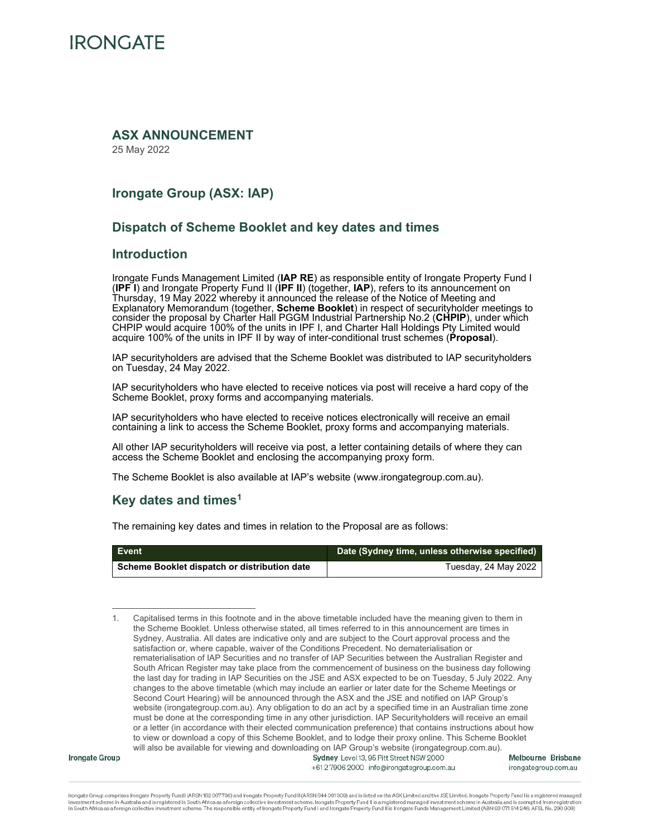

### **ASX ANNOUNCEMENT**

25 May 2022

### **Irongate Group (ASX: IAP)**

### **Dispatch of Scheme Booklet and key dates and times**

### **Introduction**

Irongate Funds Management Limited (**IAP RE**) as responsible entity of Irongate Property Fund I (**IPF I**) and Irongate Property Fund II (**IPF II**) (together, **IAP**), refers to its announcement on Thursday, 19 May 2022 whereby it announced the release of the Notice of Meeting and Explanatory Memorandum (together, **Scheme Booklet**) in respect of securityholder meetings to consider the proposal by Charter Hall PGGM Industrial Partnership No.2 (**CHPIP**), under which CHPIP would acquire 100% of the units in IPF I, and Charter Hall Holdings Pty Limited would acquire 100% of the units in IPF II by way of inter-conditional trust schemes (**Proposal**).

IAP securityholders are advised that the Scheme Booklet was distributed to IAP securityholders on Tuesday, 24 May 2022.

IAP securityholders who have elected to receive notices via post will receive a hard copy of the Scheme Booklet, proxy forms and accompanying materials.

IAP securityholders who have elected to receive notices electronically will receive an email containing a link to access the Scheme Booklet, proxy forms and accompanying materials.

All other IAP securityholders will receive via post, a letter containing details of where they can access the Scheme Booklet and enclosing the accompanying proxy form.

The Scheme Booklet is also available at IAP's website (www.irongategroup.com.au).

### **Key dates and times1**

The remaining key dates and times in relation to the Proposal are as follows:

| Event                                        | Date (Sydney time, unless otherwise specified) |
|----------------------------------------------|------------------------------------------------|
| Scheme Booklet dispatch or distribution date | Tuesday, 24 May 2022                           |

<sup>1.</sup> Capitalised terms in this footnote and in the above timetable included have the meaning given to them in the Scheme Booklet. Unless otherwise stated, all times referred to in this announcement are times in Sydney, Australia. All dates are indicative only and are subject to the Court approval process and the satisfaction or, where capable, waiver of the Conditions Precedent. No dematerialisation or rematerialisation of IAP Securities and no transfer of IAP Securities between the Australian Register and South African Register may take place from the commencement of business on the business day following the last day for trading in IAP Securities on the JSE and ASX expected to be on Tuesday, 5 July 2022. Any changes to the above timetable (which may include an earlier or later date for the Scheme Meetings or Second Court Hearing) will be announced through the ASX and the JSE and notified on IAP Group's website (irongategroup.com.au). Any obligation to do an act by a specified time in an Australian time zone must be done at the corresponding time in any other jurisdiction. IAP Securityholders will receive an email or a letter (in accordance with their elected communication preference) that contains instructions about how to view or download a copy of this Scheme Booklet, and to lodge their proxy online. This Scheme Booklet will also be available for viewing and downloading on IAP Group's website (irongategroup.com.au).<br>Sydney Level 13, 95 Pitt Street NSW 2000

**Irongate Group** 

+61279062000 info@irongategroup.com.au

Melbourne Brisbane irongategroup.com.au

Irongate Group comprises Irongate Property Fund I (ARSN 162 067736) and Irongate Property Fund II (ARSN 644 081 309) and is listed on the ASX Limited and the JSE Limited, Irongate Property Fund I is a registered managed investment scheme in Australia and is registered in South Africa as a foreign collective investment scheme. Irongate Property Fund II is a registered managed investment scheme in Australia and is exempted from registration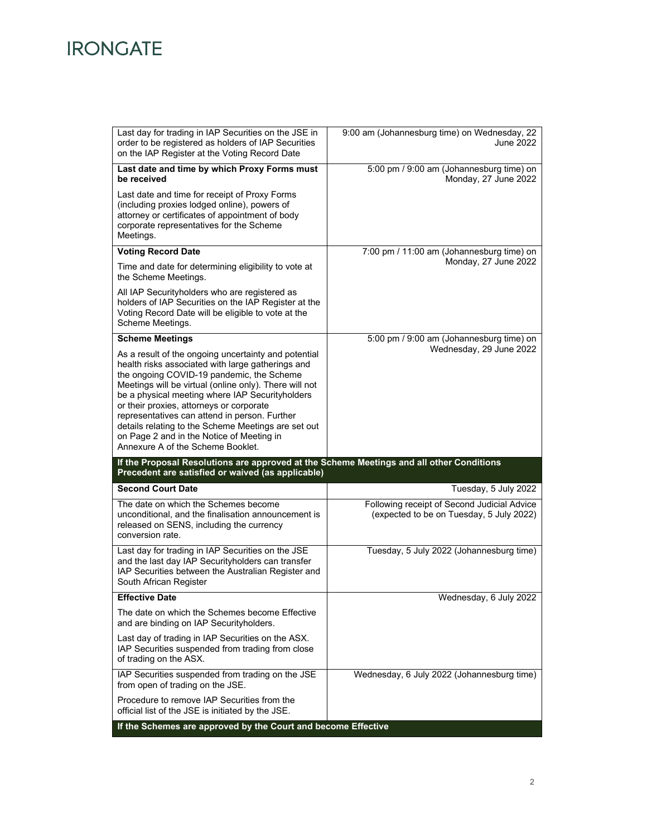# **IRONGATE**

| Last day for trading in IAP Securities on the JSE in<br>order to be registered as holders of IAP Securities<br>on the IAP Register at the Voting Record Date                                                                                                                                                                                                                                                                                                         | 9:00 am (Johannesburg time) on Wednesday, 22<br>June 2022                               |
|----------------------------------------------------------------------------------------------------------------------------------------------------------------------------------------------------------------------------------------------------------------------------------------------------------------------------------------------------------------------------------------------------------------------------------------------------------------------|-----------------------------------------------------------------------------------------|
| Last date and time by which Proxy Forms must<br>be received                                                                                                                                                                                                                                                                                                                                                                                                          | 5:00 pm / 9:00 am (Johannesburg time) on<br>Monday, 27 June 2022                        |
| Last date and time for receipt of Proxy Forms<br>(including proxies lodged online), powers of<br>attorney or certificates of appointment of body<br>corporate representatives for the Scheme<br>Meetings.                                                                                                                                                                                                                                                            |                                                                                         |
| <b>Voting Record Date</b>                                                                                                                                                                                                                                                                                                                                                                                                                                            | 7:00 pm / 11:00 am (Johannesburg time) on                                               |
| Time and date for determining eligibility to vote at<br>the Scheme Meetings.                                                                                                                                                                                                                                                                                                                                                                                         | Monday, 27 June 2022                                                                    |
| All IAP Securityholders who are registered as<br>holders of IAP Securities on the IAP Register at the<br>Voting Record Date will be eligible to vote at the<br>Scheme Meetings.                                                                                                                                                                                                                                                                                      |                                                                                         |
| <b>Scheme Meetings</b>                                                                                                                                                                                                                                                                                                                                                                                                                                               | 5:00 pm / 9:00 am (Johannesburg time) on                                                |
| As a result of the ongoing uncertainty and potential<br>health risks associated with large gatherings and<br>the ongoing COVID-19 pandemic, the Scheme<br>Meetings will be virtual (online only). There will not<br>be a physical meeting where IAP Securityholders<br>or their proxies, attorneys or corporate<br>representatives can attend in person. Further<br>details relating to the Scheme Meetings are set out<br>on Page 2 and in the Notice of Meeting in | Wednesday, 29 June 2022                                                                 |
| Annexure A of the Scheme Booklet.                                                                                                                                                                                                                                                                                                                                                                                                                                    |                                                                                         |
| If the Proposal Resolutions are approved at the Scheme Meetings and all other Conditions<br>Precedent are satisfied or waived (as applicable)                                                                                                                                                                                                                                                                                                                        |                                                                                         |
| <b>Second Court Date</b>                                                                                                                                                                                                                                                                                                                                                                                                                                             | Tuesday, 5 July 2022                                                                    |
| The date on which the Schemes become<br>unconditional, and the finalisation announcement is<br>released on SENS, including the currency<br>conversion rate.                                                                                                                                                                                                                                                                                                          | Following receipt of Second Judicial Advice<br>(expected to be on Tuesday, 5 July 2022) |
| Last day for trading in IAP Securities on the JSE<br>and the last day IAP Securityholders can transfer<br>IAP Securities between the Australian Register and<br>South African Register                                                                                                                                                                                                                                                                               | Tuesday, 5 July 2022 (Johannesburg time)                                                |
| <b>Effective Date</b>                                                                                                                                                                                                                                                                                                                                                                                                                                                | Wednesday, 6 July 2022                                                                  |
| The date on which the Schemes become Effective<br>and are binding on IAP Securityholders.                                                                                                                                                                                                                                                                                                                                                                            |                                                                                         |
| Last day of trading in IAP Securities on the ASX.<br>IAP Securities suspended from trading from close<br>of trading on the ASX.                                                                                                                                                                                                                                                                                                                                      |                                                                                         |
| IAP Securities suspended from trading on the JSE<br>from open of trading on the JSE.                                                                                                                                                                                                                                                                                                                                                                                 | Wednesday, 6 July 2022 (Johannesburg time)                                              |
| Procedure to remove IAP Securities from the<br>official list of the JSE is initiated by the JSE.                                                                                                                                                                                                                                                                                                                                                                     |                                                                                         |